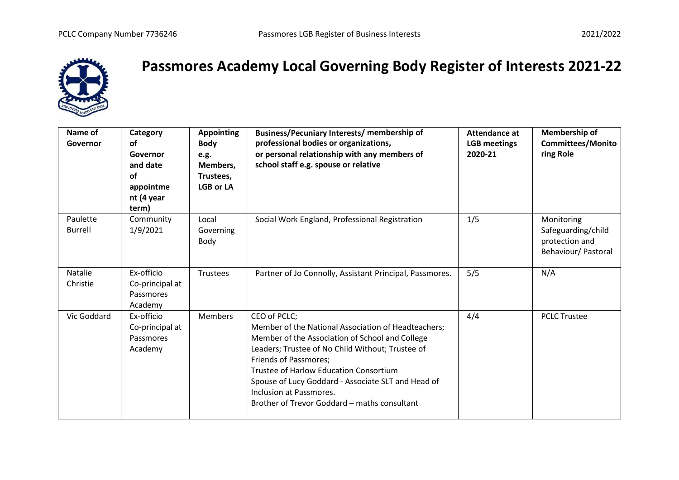

## **Passmores Academy Local Governing Body Register of Interests 2021-22**

| Name of<br>Governor        | Category<br>οf<br>Governor<br>and date<br>οf<br>appointme<br>nt (4 year<br>term) | <b>Appointing</b><br><b>Body</b><br>e.g.<br>Members,<br>Trustees,<br><b>LGB or LA</b> | Business/Pecuniary Interests/ membership of<br>professional bodies or organizations,<br>or personal relationship with any members of<br>school staff e.g. spouse or relative                                                                                                                                                                                                                 | Attendance at<br><b>LGB</b> meetings<br>2020-21 | Membership of<br><b>Committees/Monito</b><br>ring Role                    |
|----------------------------|----------------------------------------------------------------------------------|---------------------------------------------------------------------------------------|----------------------------------------------------------------------------------------------------------------------------------------------------------------------------------------------------------------------------------------------------------------------------------------------------------------------------------------------------------------------------------------------|-------------------------------------------------|---------------------------------------------------------------------------|
| Paulette<br><b>Burrell</b> | Community<br>1/9/2021                                                            | Local<br>Governing<br>Body                                                            | Social Work England, Professional Registration                                                                                                                                                                                                                                                                                                                                               | 1/5                                             | Monitoring<br>Safeguarding/child<br>protection and<br>Behaviour/ Pastoral |
| Natalie<br>Christie        | Ex-officio<br>Co-principal at<br>Passmores<br>Academy                            | Trustees                                                                              | Partner of Jo Connolly, Assistant Principal, Passmores.                                                                                                                                                                                                                                                                                                                                      | 5/5                                             | N/A                                                                       |
| Vic Goddard                | Ex-officio<br>Co-principal at<br>Passmores<br>Academy                            | <b>Members</b>                                                                        | CEO of PCLC;<br>Member of the National Association of Headteachers;<br>Member of the Association of School and College<br>Leaders; Trustee of No Child Without; Trustee of<br><b>Friends of Passmores;</b><br><b>Trustee of Harlow Education Consortium</b><br>Spouse of Lucy Goddard - Associate SLT and Head of<br>Inclusion at Passmores.<br>Brother of Trevor Goddard - maths consultant | 4/4                                             | <b>PCLC Trustee</b>                                                       |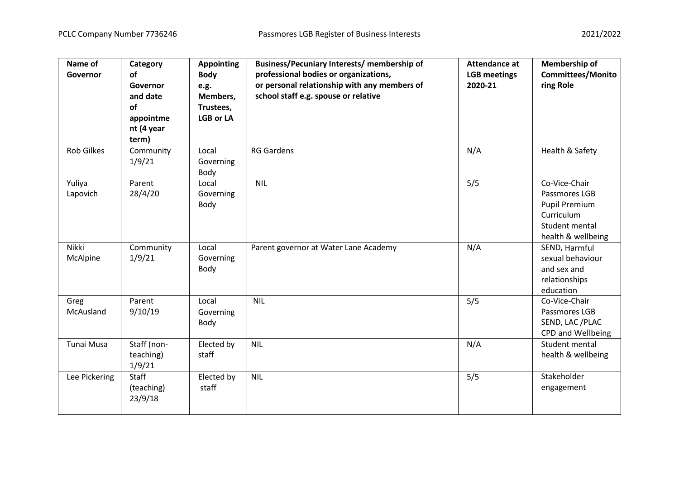| Name of<br>Governor | Category<br>of<br>Governor<br>and date<br><b>of</b><br>appointme<br>nt (4 year<br>term) | <b>Appointing</b><br><b>Body</b><br>e.g.<br>Members,<br>Trustees,<br><b>LGB or LA</b> | Business/Pecuniary Interests/ membership of<br>professional bodies or organizations,<br>or personal relationship with any members of<br>school staff e.g. spouse or relative | <b>Attendance at</b><br><b>LGB</b> meetings<br>2020-21 | Membership of<br><b>Committees/Monito</b><br>ring Role                                                       |
|---------------------|-----------------------------------------------------------------------------------------|---------------------------------------------------------------------------------------|------------------------------------------------------------------------------------------------------------------------------------------------------------------------------|--------------------------------------------------------|--------------------------------------------------------------------------------------------------------------|
| <b>Rob Gilkes</b>   | Community<br>1/9/21                                                                     | Local<br>Governing<br>Body                                                            | <b>RG Gardens</b>                                                                                                                                                            | N/A                                                    | Health & Safety                                                                                              |
| Yuliya<br>Lapovich  | Parent<br>28/4/20                                                                       | Local<br>Governing<br>Body                                                            | <b>NIL</b>                                                                                                                                                                   | 5/5                                                    | Co-Vice-Chair<br>Passmores LGB<br><b>Pupil Premium</b><br>Curriculum<br>Student mental<br>health & wellbeing |
| Nikki<br>McAlpine   | Community<br>1/9/21                                                                     | Local<br>Governing<br>Body                                                            | Parent governor at Water Lane Academy                                                                                                                                        | N/A                                                    | SEND, Harmful<br>sexual behaviour<br>and sex and<br>relationships<br>education                               |
| Greg<br>McAusland   | Parent<br>9/10/19                                                                       | Local<br>Governing<br>Body                                                            | <b>NIL</b>                                                                                                                                                                   | 5/5                                                    | Co-Vice-Chair<br>Passmores LGB<br>SEND, LAC /PLAC<br>CPD and Wellbeing                                       |
| Tunai Musa          | Staff (non-<br>teaching)<br>1/9/21                                                      | Elected by<br>staff                                                                   | <b>NIL</b>                                                                                                                                                                   | N/A                                                    | Student mental<br>health & wellbeing                                                                         |
| Lee Pickering       | Staff<br>(teaching)<br>23/9/18                                                          | Elected by<br>staff                                                                   | <b>NIL</b>                                                                                                                                                                   | 5/5                                                    | Stakeholder<br>engagement                                                                                    |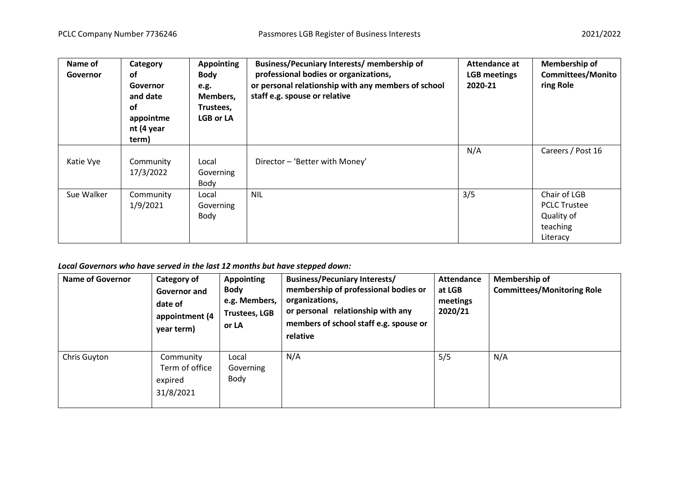| Name of<br>Governor | Category<br>of<br>Governor<br>and date<br>of<br>appointme<br>nt (4 year<br>term) | <b>Appointing</b><br><b>Body</b><br>e.g.<br>Members,<br>Trustees,<br><b>LGB or LA</b> | Business/Pecuniary Interests/ membership of<br>professional bodies or organizations,<br>or personal relationship with any members of school<br>staff e.g. spouse or relative | Attendance at<br><b>LGB</b> meetings<br>2020-21 | <b>Membership of</b><br><b>Committees/Monito</b><br>ring Role             |
|---------------------|----------------------------------------------------------------------------------|---------------------------------------------------------------------------------------|------------------------------------------------------------------------------------------------------------------------------------------------------------------------------|-------------------------------------------------|---------------------------------------------------------------------------|
| Katie Vye           | Community<br>17/3/2022                                                           | Local<br>Governing<br>Body                                                            | Director - 'Better with Money'                                                                                                                                               | N/A                                             | Careers / Post 16                                                         |
| Sue Walker          | Community<br>1/9/2021                                                            | Local<br>Governing<br>Body                                                            | <b>NIL</b>                                                                                                                                                                   | 3/5                                             | Chair of LGB<br><b>PCLC Trustee</b><br>Quality of<br>teaching<br>Literacy |

## *Local Governors who have served in the last 12 months but have stepped down:*

| <b>Name of Governor</b> | Category of<br>Governor and<br>date of<br>appointment (4<br>year term) | <b>Appointing</b><br><b>Body</b><br>e.g. Members,<br><b>Trustees, LGB</b><br>or LA | <b>Business/Pecuniary Interests/</b><br>membership of professional bodies or<br>organizations,<br>or personal relationship with any<br>members of school staff e.g. spouse or<br>relative | <b>Attendance</b><br>at LGB<br>meetings<br>2020/21 | Membership of<br><b>Committees/Monitoring Role</b> |
|-------------------------|------------------------------------------------------------------------|------------------------------------------------------------------------------------|-------------------------------------------------------------------------------------------------------------------------------------------------------------------------------------------|----------------------------------------------------|----------------------------------------------------|
| Chris Guyton            | Community<br>Term of office<br>expired<br>31/8/2021                    | Local<br>Governing<br>Body                                                         | N/A                                                                                                                                                                                       | 5/5                                                | N/A                                                |